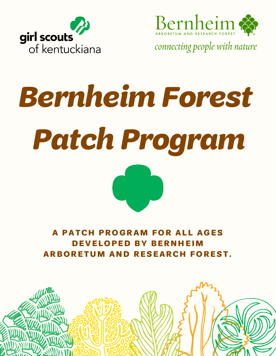



connecting people with nature

# Bernheim Forest Patch Program



A PATCH PROGRAM FOR ALL AGES DEVELOPED BY BERNHEIM ARBORETUM AND RESEARCH FOREST.